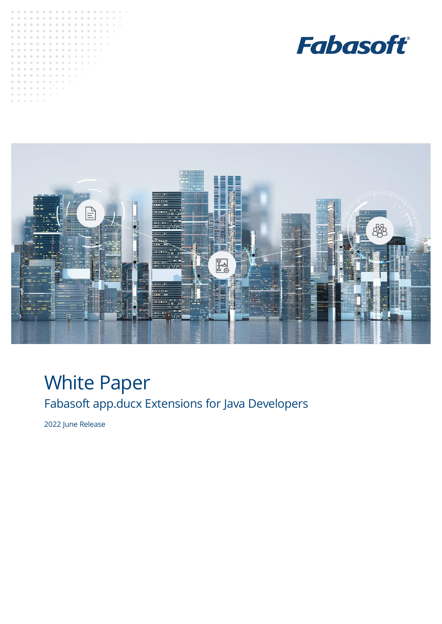





# White Paper Fabasoft app.ducx Extensions for Java Developers

2022 June Release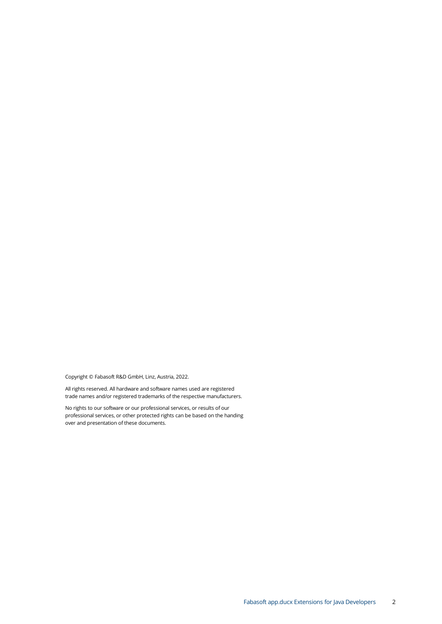Copyright © Fabasoft R&D GmbH, Linz, Austria, 2022.

All rights reserved. All hardware and software names used are registered trade names and/or registered trademarks of the respective manufacturers.

No rights to our software or our professional services, or results of our professional services, or other protected rights can be based on the handing over and presentation of these documents.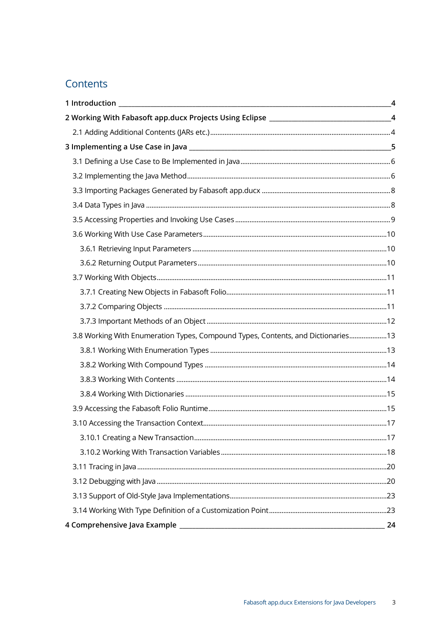# Contents

|                                                                                           | $\overline{4}$ |
|-------------------------------------------------------------------------------------------|----------------|
| 2 Working With Fabasoft app.ducx Projects Using Eclipse ________________________________4 |                |
|                                                                                           |                |
|                                                                                           |                |
|                                                                                           |                |
|                                                                                           |                |
|                                                                                           |                |
|                                                                                           |                |
|                                                                                           |                |
|                                                                                           |                |
|                                                                                           |                |
|                                                                                           |                |
|                                                                                           |                |
|                                                                                           |                |
|                                                                                           |                |
|                                                                                           |                |
| 3.8 Working With Enumeration Types, Compound Types, Contents, and Dictionaries13          |                |
|                                                                                           |                |
|                                                                                           |                |
|                                                                                           |                |
|                                                                                           |                |
|                                                                                           |                |
|                                                                                           |                |
|                                                                                           |                |
|                                                                                           |                |
|                                                                                           |                |
|                                                                                           |                |
|                                                                                           |                |
|                                                                                           |                |
|                                                                                           | 24             |
|                                                                                           |                |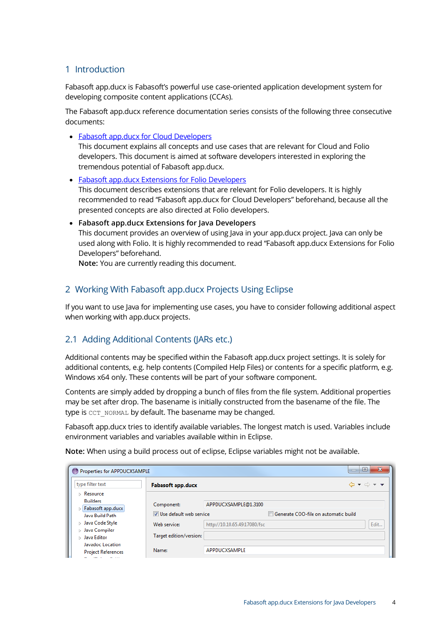## <span id="page-3-0"></span>1 Introduction

Fabasoft app.ducx is Fabasoft's powerful use case-oriented application development system for developing composite content applications (CCAs).

The Fabasoft app.ducx reference documentation series consists of the following three consecutive documents:

• [Fabasoft app.ducx for Cloud Developers](https://help.developer.fabasoft.com/index.php?topic=doc/Fabasoft-appducx-for-Cloud-Developers/index.htm)

This document explains all concepts and use cases that are relevant for Cloud and Folio developers. This document is aimed at software developers interested in exploring the tremendous potential of Fabasoft app.ducx.

• [Fabasoft app.ducx Extensions for Folio Developers](https://help.developer.fabasoft.com/index.php?topic=doc/Fabasoft-appducx-Extensions-for-Folio-Developers/index.htm) This document describes extensions that are relevant for Folio developers. It is highly recommended to read "Fabasoft app.ducx for Cloud Developers" beforehand, because all the presented concepts are also directed at Folio developers.

• **Fabasoft app.ducx Extensions for Java Developers** This document provides an overview of using Java in your app.ducx project. Java can only be used along with Folio. It is highly recommended to read "Fabasoft app.ducx Extensions for Folio Developers" beforehand.

**Note:** You are currently reading this document.

## <span id="page-3-1"></span>2 Working With Fabasoft app.ducx Projects Using Eclipse

If you want to use Java for implementing use cases, you have to consider following additional aspect when working with app.ducx projects.

## <span id="page-3-2"></span>2.1 Adding Additional Contents (JARs etc.)

Additional contents may be specified within the Fabasoft app.ducx project settings. It is solely for additional contents, e.g. help contents (Compiled Help Files) or contents for a specific platform, e.g. Windows x64 only. These contents will be part of your software component.

Contents are simply added by dropping a bunch of files from the file system. Additional properties may be set after drop. The basename is initially constructed from the basename of the file. The type is CCT\_NORMAL by default. The basename may be changed.

Fabasoft app.ducx tries to identify available variables. The longest match is used. Variables include environment variables and variables available within in Eclipse.

**Note:** When using a build process out of eclipse, Eclipse variables might not be available.

| Properties for APPDUCXSAMPLE                                                     |                          |                              |                                      | $\Sigma$<br>$\Box$                                                            |
|----------------------------------------------------------------------------------|--------------------------|------------------------------|--------------------------------------|-------------------------------------------------------------------------------|
| type filter text                                                                 | <b>Fabasoft app.ducx</b> |                              |                                      | $\Leftrightarrow \bullet \Leftrightarrow \bullet \blacktriangleright \bullet$ |
| $\triangleright$ Resource<br><b>Builders</b>                                     | Component:               | APPDUCXSAMPLE@1.3100         |                                      |                                                                               |
| Fabasoft app.ducx<br>Ь<br>Java Build Path                                        | Use default web service  |                              | Generate COO-file on automatic build |                                                                               |
| > Java Code Style<br>Java Compiler<br>ь                                          | Web service:             | http://10.10.65.49:17080/fsc |                                      | Edit                                                                          |
| Java Editor<br>Ы                                                                 | Target edition/version:  |                              |                                      |                                                                               |
| Javadoc Location<br><b>Project References</b><br><b>Profit and the company's</b> | Name:                    | APPDUCXSAMPLE                |                                      |                                                                               |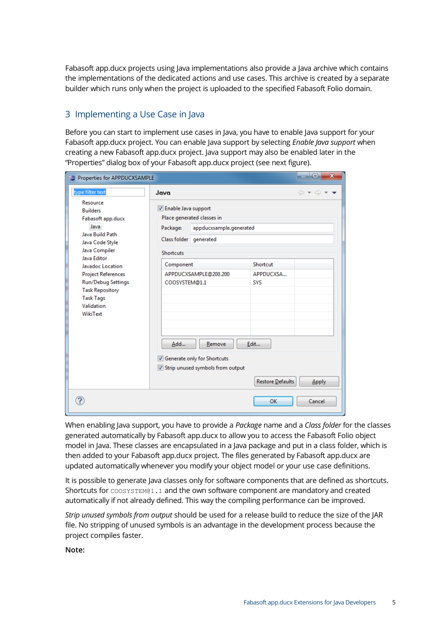Fabasoft app.ducx projects using Java implementations also provide a Java archive which contains the implementations of the dedicated actions and use cases. This archive is created by a separate builder which runs only when the project is uploaded to the specified Fabasoft Folio domain.

# <span id="page-4-0"></span>3 Implementing a Use Case in Java

Before you can start to implement use cases in Java, you have to enable Java support for your Fabasoft app.ducx project. You can enable Java support by selecting *Enable Java support* when creating a new Fabasoft app.ducx project. Java support may also be enabled later in the "Properties" dialog box of your Fabasoft app.ducx project (see next figure).

| $\mathbf{x}$<br>o<br>Properties for APPDUCXSAMPLE                                                                                                                                                                                                                                    |                                                                                                                      |                                                                                                                                                               |                                                                 |                                                            |
|--------------------------------------------------------------------------------------------------------------------------------------------------------------------------------------------------------------------------------------------------------------------------------------|----------------------------------------------------------------------------------------------------------------------|---------------------------------------------------------------------------------------------------------------------------------------------------------------|-----------------------------------------------------------------|------------------------------------------------------------|
| type filter text                                                                                                                                                                                                                                                                     | Java                                                                                                                 |                                                                                                                                                               |                                                                 | $\mathbf{a} \rightarrow \mathbf{b} \rightarrow \mathbf{b}$ |
| Resource<br><b>Builders</b><br>Fabasoft app.ducx<br>Java<br>Java Build Path<br>Java Code Style<br>Java Compiler<br>Java Editor<br>Javadoc Location<br><b>Project References</b><br><b>Run/Debug Settings</b><br><b>Task Repository</b><br><b>Task Tags</b><br>Validation<br>WikiText | V Enable Java support<br>Package:<br>Class folder generated<br><b>Shortcuts</b><br>Component<br>COOSYSTEM@1.1<br>Add | Place generated classes in<br>appducxsample.generated<br>APPDUCXSAMPLE@200.200<br>Remove<br>Generate only for Shortcuts<br>√ Strip unused symbols from output | Shortcut<br>APPDUCXSA<br><b>SYS</b><br>Edit<br>Restore Defaults | <b>Apply</b>                                               |
|                                                                                                                                                                                                                                                                                      |                                                                                                                      |                                                                                                                                                               | OK                                                              | Cancel                                                     |

When enabling Java support, you have to provide a *Package* name and a *Class folder* for the classes generated automatically by Fabasoft app.ducx to allow you to access the Fabasoft Folio object model in Java. These classes are encapsulated in a Java package and put in a class folder, which is then added to your Fabasoft app.ducx project. The files generated by Fabasoft app.ducx are updated automatically whenever you modify your object model or your use case definitions.

It is possible to generate Java classes only for software components that are defined as shortcuts. Shortcuts for COOSYSTEM@1.1 and the own software component are mandatory and created automatically if not already defined. This way the compiling performance can be improved.

*Strip unused symbols from output* should be used for a release build to reduce the size of the JAR file. No stripping of unused symbols is an advantage in the development process because the project compiles faster.

**Note:**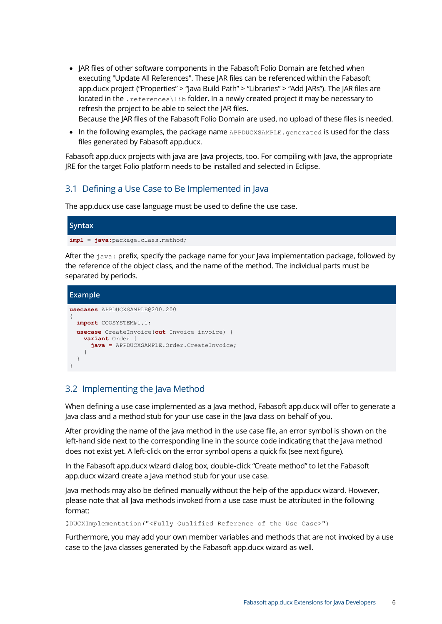• JAR files of other software components in the Fabasoft Folio Domain are fetched when executing "Update All References". These JAR files can be referenced within the Fabasoft app.ducx project ("Properties" > "Java Build Path" > "Libraries" > "Add JARs"). The JAR files are located in the . references\lib folder. In a newly created project it may be necessary to refresh the project to be able to select the JAR files.

Because the JAR files of the Fabasoft Folio Domain are used, no upload of these files is needed.

• In the following examples, the package name APPDUCXSAMPLE. generated is used for the class files generated by Fabasoft app.ducx.

Fabasoft app.ducx projects with java are Java projects, too. For compiling with Java, the appropriate JRE for the target Folio platform needs to be installed and selected in Eclipse.

## <span id="page-5-0"></span>3.1 Defining a Use Case to Be Implemented in Java

The app.ducx use case language must be used to define the use case.

# **Syntax impl** = **java:**package.class.method;

After the  $i$ <sub>ava</sub>: prefix, specify the package name for your lava implementation package, followed by the reference of the object class, and the name of the method. The individual parts must be separated by periods.

```
Example
usecases APPDUCXSAMPLE@200.200
{
  import COOSYSTEM@1.1;
  usecase CreateInvoice(out Invoice invoice) {
    variant Order {
       java = APPDUCXSAMPLE.Order.CreateInvoice;
     }
   }
}
```
## <span id="page-5-1"></span>3.2 Implementing the Java Method

When defining a use case implemented as a Java method, Fabasoft app.ducx will offer to generate a Java class and a method stub for your use case in the Java class on behalf of you.

After providing the name of the java method in the use case file, an error symbol is shown on the left-hand side next to the corresponding line in the source code indicating that the Java method does not exist yet. A left-click on the error symbol opens a quick fix (see next figure).

In the Fabasoft app.ducx wizard dialog box, double-click "Create method" to let the Fabasoft app.ducx wizard create a Java method stub for your use case.

Java methods may also be defined manually without the help of the app.ducx wizard. However, please note that all Java methods invoked from a use case must be attributed in the following format:

@DUCXImplementation("<Fully Qualified Reference of the Use Case>")

Furthermore, you may add your own member variables and methods that are not invoked by a use case to the Java classes generated by the Fabasoft app.ducx wizard as well.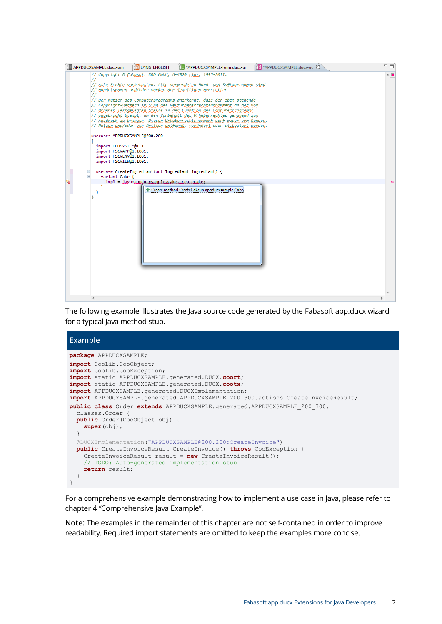

The following example illustrates the Java source code generated by the Fabasoft app.ducx wizard for a typical Java method stub.

#### **Example package** APPDUCXSAMPLE; **import** CooLib.CooObject; **import** CooLib.CooException; **import** static APPDUCXSAMPLE.generated.DUCX.**coort**; **import** static APPDUCXSAMPLE.generated.DUCX.**cootx**; **import** APPDUCXSAMPLE.generated.DUCXImplementation; **import** APPDUCXSAMPLE.generated.APPDUCXSAMPLE\_200\_300.actions.CreateInvoiceResult; **public class** Order **extends** APPDUCXSAMPLE.generated.APPDUCXSAMPLE\_200\_300. classes.Order { **public** Order(CooObject obj) { super(obj); } @DUCXImplementation("APPDUCXSAMPLE@200.200:CreateInvoice") **public** CreateInvoiceResult CreateInvoice() **throws** CooException { CreateInvoiceResult result = **new** CreateInvoiceResult(); // TODO: Auto-generated implementation stub **return** result; } }

For a comprehensive example demonstrating how to implement a use case in Java, please refer to chapter [4](#page-23-0) "[Comprehensive Java Example](#page-23-0)".

**Note:** The examples in the remainder of this chapter are not self-contained in order to improve readability. Required import statements are omitted to keep the examples more concise.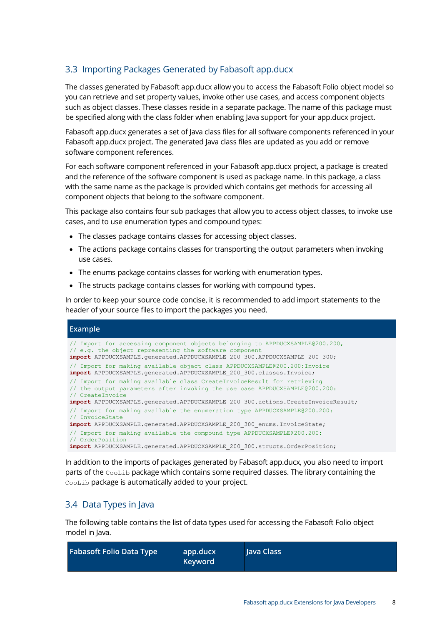# <span id="page-7-0"></span>3.3 Importing Packages Generated by Fabasoft app.ducx

The classes generated by Fabasoft app.ducx allow you to access the Fabasoft Folio object model so you can retrieve and set property values, invoke other use cases, and access component objects such as object classes. These classes reside in a separate package. The name of this package must be specified along with the class folder when enabling Java support for your app.ducx project.

Fabasoft app.ducx generates a set of Java class files for all software components referenced in your Fabasoft app.ducx project. The generated Java class files are updated as you add or remove software component references.

For each software component referenced in your Fabasoft app.ducx project, a package is created and the reference of the software component is used as package name. In this package, a class with the same name as the package is provided which contains get methods for accessing all component objects that belong to the software component.

This package also contains four sub packages that allow you to access object classes, to invoke use cases, and to use enumeration types and compound types:

- The classes package contains classes for accessing object classes.
- The actions package contains classes for transporting the output parameters when invoking use cases.
- The enums package contains classes for working with enumeration types.
- The structs package contains classes for working with compound types.

In order to keep your source code concise, it is recommended to add import statements to the header of your source files to import the packages you need.

#### **Example**

| // Import for accessing component objects belonging to APPDUCXSAMPLE@200.200,<br>// e.g. the object representing the software component<br>import APPDUCXSAMPLE.qenerated.APPDUCXSAMPLE 200 300.APPDUCXSAMPLE 200 300;                                          |
|-----------------------------------------------------------------------------------------------------------------------------------------------------------------------------------------------------------------------------------------------------------------|
| // Import for making available object class APPDUCXSAMPLE@200.200:Invoice<br>import APPDUCXSAMPLE.generated.APPDUCXSAMPLE 200 300.classes.Invoice;                                                                                                              |
| // Import for making available class CreateInvoiceResult for retrieving<br>// the output parameters after invoking the use case APPDUCXSAMPLE@200.200:<br>// CreateInvoice<br>import APPDUCXSAMPLE.generated.APPDUCXSAMPLE 200 300.actions.CreateInvoiceResult; |
| // Import for making available the enumeration type APPDUCXSAMPLE@200.200:<br>// InvoiceState<br>import APPDUCXSAMPLE. generated. APPDUCXSAMPLE 200 300 enums. InvoiceState;                                                                                    |
| // Import for making available the compound type APPDUCXSAMPLE@200.200:<br>// OrderPosition<br>import APPDUCXSAMPLE.generated.APPDUCXSAMPLE 200 300.structs.OrderPosition;                                                                                      |

In addition to the imports of packages generated by Fabasoft app.ducx, you also need to import parts of the CooLib package which contains some required classes. The library containing the CooLib package is automatically added to your project.

## <span id="page-7-1"></span>3.4 Data Types in Java

The following table contains the list of data types used for accessing the Fabasoft Folio object model in Java.

| <b>Fabasoft Folio Data Type</b> | app.ducx<br><b>Keyword</b> | Java Class |
|---------------------------------|----------------------------|------------|
|---------------------------------|----------------------------|------------|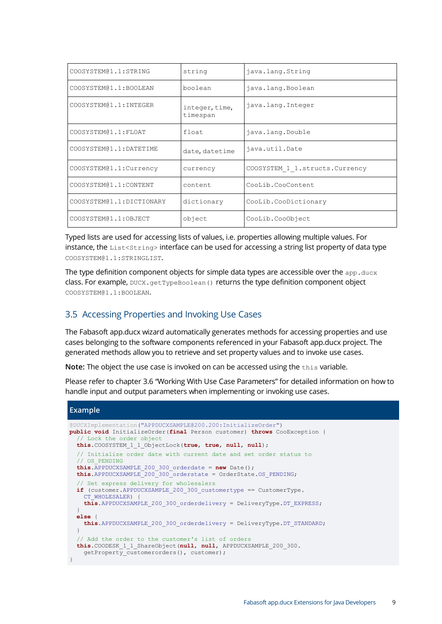| COOSYSTEM@1.1:STRING     | string                     | java.lang.String                |
|--------------------------|----------------------------|---------------------------------|
| COOSYSTEM@1.1:BOOLEAN    | boolean                    | java.lang.Boolean               |
| COOSYSTEM@1.1: INTEGER   | integer, time,<br>timespan | java.lang.Integer               |
| COOSYSTEM@1.1:FLOAT      | float                      | java.lang.Double                |
| COOSYSTEM@1.1:DATETIME   | date, datetime             | java.util.Date                  |
| COOSYSTEM@1.1:Currency   | currency                   | COOSYSTEM 1 1.structs. Currency |
| COOSYSTEM@1.1:CONTENT    | content                    | CooLib.CooContent               |
| COOSYSTEM@1.1:DICTIONARY | dictionary                 | CooLib.CooDictionary            |
| COOSYSTEM@1.1:OBJECT     | object                     | CooLib.CooObject                |

Typed lists are used for accessing lists of values, i.e. properties allowing multiple values. For instance, the List<String> interface can be used for accessing a string list property of data type COOSYSTEM@1.1:STRINGLIST.

The type definition component objects for simple data types are accessible over the  $_{\rm app.ducx}$ class. For example, DUCX.getTypeBoolean() returns the type definition component object COOSYSTEM@1.1:BOOLEAN.

## <span id="page-8-0"></span>3.5 Accessing Properties and Invoking Use Cases

The Fabasoft app.ducx wizard automatically generates methods for accessing properties and use cases belonging to the software components referenced in your Fabasoft app.ducx project. The generated methods allow you to retrieve and set property values and to invoke use cases.

**Note:** The object the use case is invoked on can be accessed using the this variable.

Please refer to chapter [3.6](#page-9-0) "[Working With Use Case Parameters](#page-9-0)" for detailed information on how to handle input and output parameters when implementing or invoking use cases.

#### **Example**

```
@DUCXImplementation("APPDUCXSAMPLE@200.200:InitializeOrder")
public void InitializeOrder(final Person customer) throws CooException {
   // Lock the order object
   this.COOSYSTEM_1_1_ObjectLock(true, true, null, null);
   // Initialize order date with current date and set order status to
   // OS_PENDING
   this.APPDUCXSAMPLE_200_300_orderdate = new Date();
  this.APPDUCXSAMPLE<sup>200</sup>300_orderstate = OrderState.OS_PENDING;
   // Set express delivery for wholesalers
  if (customer.APPDUCXSAMPLE 200 300 customertype == CustomerType.
    CT_WHOLESALER) {
     this.APPDUCXSAMPLE_200_300_orderdelivery = DeliveryType.DT_EXPRESS;
 }
   else {
    this.APPDUCXSAMPLE 200 300 orderdelivery = DeliveryType.DT STANDARD;
 }
   // Add the order to the customer's list of orders
   this.COODESK_1_1_ShareObject(null, null, APPDUCXSAMPLE_200_300.
    getProperty customerorders(), customer);
}
```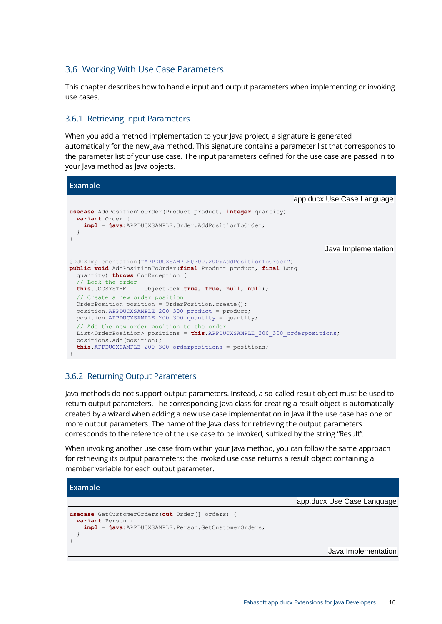## <span id="page-9-0"></span>3.6 Working With Use Case Parameters

This chapter describes how to handle input and output parameters when implementing or invoking use cases.

#### <span id="page-9-1"></span>3.6.1 Retrieving Input Parameters

When you add a method implementation to your Java project, a signature is generated automatically for the new Java method. This signature contains a parameter list that corresponds to the parameter list of your use case. The input parameters defined for the use case are passed in to your Java method as Java objects.

**Example**

|                                                                                                                                                                                                                                                          | app.ducx Use Case Language |
|----------------------------------------------------------------------------------------------------------------------------------------------------------------------------------------------------------------------------------------------------------|----------------------------|
| <b>usecase</b> AddPositionToOrder (Product product, integer quantity) {<br><b>variant</b> Order {<br>$impl = java:APPDUCX SAMPLE.Crder.AddPositionToOrder;$                                                                                              |                            |
|                                                                                                                                                                                                                                                          | Java Implementation        |
| @DUCXImplementation("APPDUCXSAMPLE@200.200:AddPositionToOrder")<br>public void AddPositionToOrder (final Product product, final Long<br>quantity) throws CooException {<br>// Lock the order<br>this. COOSYSTEM 1 1 ObjectLock (true, true, null, null); |                            |
| // Create a new order position<br>OrderPosition position = OrderPosition.create();<br>position. APPDUCXSAMPLE 200 300 product = product;<br>position. APPDUCXSAMPLE 200 300 quantity = quantity;                                                         |                            |
| // Add the new order position to the order<br>List <orderposition> positions = <math>this</math>.APPDUCXSAMPLE 200 300 orderpositions;<br/>positions.add(position);<br/>this. APPDUCXSAMPLE 200 300 orderpositions = positions;</orderposition>          |                            |

#### <span id="page-9-2"></span>3.6.2 Returning Output Parameters

Java methods do not support output parameters. Instead, a so-called result object must be used to return output parameters. The corresponding Java class for creating a result object is automatically created by a wizard when adding a new use case implementation in Java if the use case has one or more output parameters. The name of the Java class for retrieving the output parameters corresponds to the reference of the use case to be invoked, suffixed by the string "Result".

When invoking another use case from within your Java method, you can follow the same approach for retrieving its output parameters: the invoked use case returns a result object containing a member variable for each output parameter.

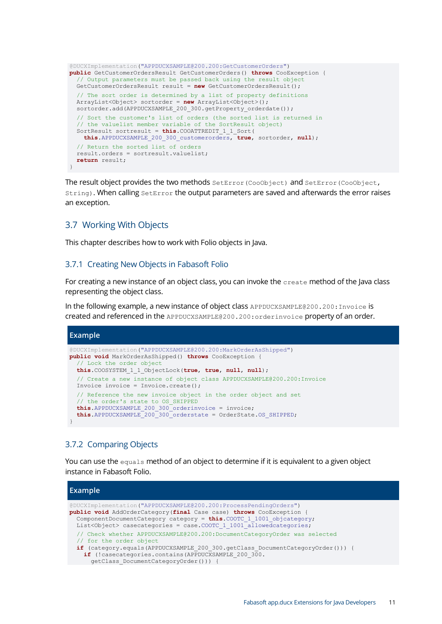```
@DUCXImplementation("APPDUCXSAMPLE@200.200:GetCustomerOrders")
public GetCustomerOrdersResult GetCustomerOrders() throws CooException {
   // Output parameters must be passed back using the result object
   GetCustomerOrdersResult result = new GetCustomerOrdersResult();
   // The sort order is determined by a list of property definitions
   ArrayList<Object> sortorder = new ArrayList<Object>();
  sortorder.add(APPDUCXSAMPLE 200 300.getProperty orderdate());
   // Sort the customer's list of orders (the sorted list is returned in
   // the valuelist member variable of the SortResult object)
   SortResult sortresult = this.COOATTREDIT_1_1_Sort(
     this.APPDUCXSAMPLE_200_300_customerorders, true, sortorder, null);
   // Return the sorted list of orders
   result.orders = sortresult.valuelist;
   return result;
}
```
The result object provides the two methods SetError(CooObject) and SetError(CooObject, String). When calling SetError the output parameters are saved and afterwards the error raises an exception.

#### <span id="page-10-0"></span>3.7 Working With Objects

This chapter describes how to work with Folio objects in Java.

#### <span id="page-10-1"></span>3.7.1 Creating New Objects in Fabasoft Folio

For creating a new instance of an object class, you can invoke the create method of the Java class representing the object class.

In the following example, a new instance of object class APPDUCXSAMPLE@200.200:Invoice is created and referenced in the APPDUCXSAMPLE@200.200:orderinvoice property of an order.

```
Example
@DUCXImplementation("APPDUCXSAMPLE@200.200:MarkOrderAsShipped")
public void MarkOrderAsShipped() throws CooException {
     // Lock the order object
   this.COOSYSTEM_1_1_ObjectLock(true, true, null, null);
   // Create a new instance of object class APPDUCXSAMPLE@200.200:Invoice
   Invoice invoice = Invoice.create();
   // Reference the new invoice object in the order object and set
   // the order's state to OS_SHIPPED
   this.APPDUCXSAMPLE_200_300_orderinvoice = invoice;
   this.APPDUCXSAMPLE_200_300_orderstate = OrderState.OS_SHIPPED;
}
```
## <span id="page-10-2"></span>3.7.2 Comparing Objects

You can use the equals method of an object to determine if it is equivalent to a given object instance in Fabasoft Folio.

| Example                                                                                                                                                                                                                                                                                        |  |
|------------------------------------------------------------------------------------------------------------------------------------------------------------------------------------------------------------------------------------------------------------------------------------------------|--|
| @DUCXImplementation("APPDUCXSAMPLE@200.200:ProcessPendingOrders")<br>public void AddOrderCategory (final Case case) throws CooException {<br>ComponentDocumentCategory category = $this$ . COOTC 1 1001 objectegory;<br>$List<0$ bject> casecategories = case. COOTC 1 1001 allowedcategories; |  |
| // Check whether APPDUCXSAMPLE@200.200:DocumentCategoryOrder was selected<br>// for the order object<br>if (category.equals(APPDUCXSAMPLE 200 300.getClass DocumentCategoryOrder())) {<br>if (!casecategories.contains (APPDUCXSAMPLE 200 300.<br>qetClass DocumentCategoryOrder())) {         |  |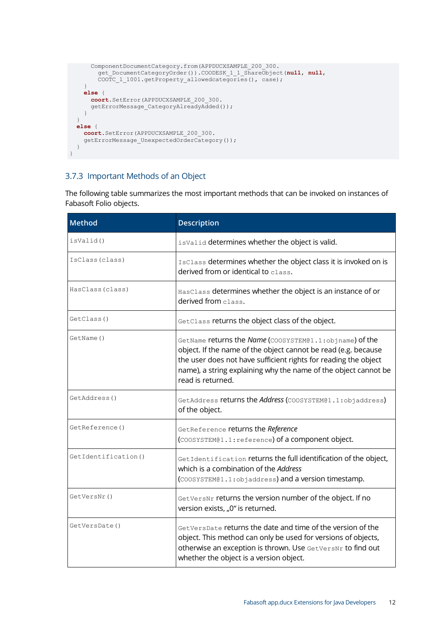```
 ComponentDocumentCategory.from(APPDUCXSAMPLE_200_300.
         get_DocumentCategoryOrder()).COODESK_1_1_ShareObject(null, null,
         COOTC_1_1001.getProperty_allowedcategories(), case);
 }
     else {
       coort.SetError(APPDUCXSAMPLE_200_300.
       getErrorMessage_CategoryAlreadyAdded());
     }
   }
   else {
     coort.SetError(APPDUCXSAMPLE_200_300.
     getErrorMessage_UnexpectedOrderCategory());
   }
}
```
## <span id="page-11-0"></span>3.7.3 Important Methods of an Object

The following table summarizes the most important methods that can be invoked on instances of Fabasoft Folio objects.

| <b>Method</b>       | <b>Description</b>                                                                                                                                                                                                                                                                   |  |
|---------------------|--------------------------------------------------------------------------------------------------------------------------------------------------------------------------------------------------------------------------------------------------------------------------------------|--|
| isValid()           | isValid determines whether the object is valid.                                                                                                                                                                                                                                      |  |
| IsClass (class)     | IsClass determines whether the object class it is invoked on is<br>derived from or identical to class.                                                                                                                                                                               |  |
| HasClass(class)     | HasClass determines whether the object is an instance of or<br>derived from class.                                                                                                                                                                                                   |  |
| GetClass()          | GetClass returns the object class of the object.                                                                                                                                                                                                                                     |  |
| GetName ()          | GetName returns the Name (COOSYSTEM@1.1:objname) of the<br>object. If the name of the object cannot be read (e.g. because<br>the user does not have sufficient rights for reading the object<br>name), a string explaining why the name of the object cannot be<br>read is returned. |  |
| GetAddress()        | GetAddress returns the Address (COOSYSTEM01.1:objaddress)<br>of the object.                                                                                                                                                                                                          |  |
| GetReference()      | GetReference returns the Reference<br>(COOSYSTEM@1.1: reference) of a component object.                                                                                                                                                                                              |  |
| GetIdentification() | GetIdentification returns the full identification of the object,<br>which is a combination of the Address<br>(COOSYSTEM@1.1:objaddress) and a version timestamp.                                                                                                                     |  |
| GetVersNr()         | GetVersNr returns the version number of the object. If no<br>version exists, "0" is returned.                                                                                                                                                                                        |  |
| GetVersDate()       | GetVersDate returns the date and time of the version of the<br>object. This method can only be used for versions of objects,<br>otherwise an exception is thrown. Use GetVersNr to find out<br>whether the object is a version object.                                               |  |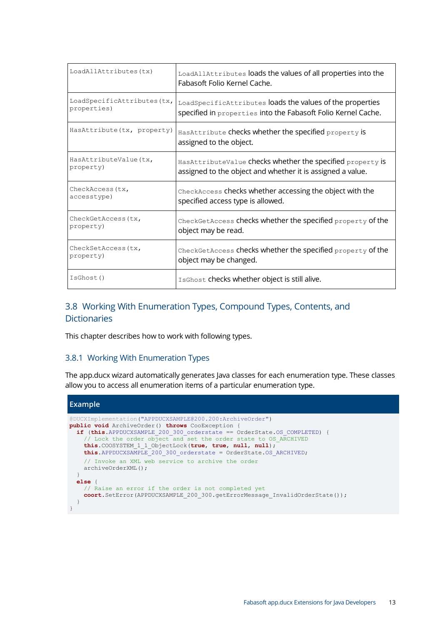| LoadAllAttributes(tx)      | LoadAllAttributes loads the values of all properties into the<br>Fabasoft Folio Kernel Cache. |
|----------------------------|-----------------------------------------------------------------------------------------------|
| LoadSpecificAttributes(tx, | LoadSpecificAttributes loads the values of the properties                                     |
| properties)                | specified in properties into the Fabasoft Folio Kernel Cache.                                 |
| HasAttribute(tx, property) | Has Attribute checks whether the specified property is<br>assigned to the object.             |
| HasAttributeValue(tx,      | HasAttributeValue checks whether the specified property is                                    |
| property)                  | assigned to the object and whether it is assigned a value.                                    |
| CheckAccess (tx,           | CheckAccess checks whether accessing the object with the                                      |
| accesstype)                | specified access type is allowed.                                                             |
| CheckGetAccess (tx,        | CheckGetAccess checks whether the specified property of the                                   |
| property)                  | object may be read.                                                                           |
| CheckSetAccess (tx,        | CheckGetAccess checks whether the specified property of the                                   |
| property)                  | object may be changed.                                                                        |
| IsGhost()                  | IsGhost checks whether object is still alive.                                                 |

# <span id="page-12-0"></span>3.8 Working With Enumeration Types, Compound Types, Contents, and **Dictionaries**

This chapter describes how to work with following types.

#### <span id="page-12-1"></span>3.8.1 Working With Enumeration Types

The app.ducx wizard automatically generates Java classes for each enumeration type. These classes allow you to access all enumeration items of a particular enumeration type.

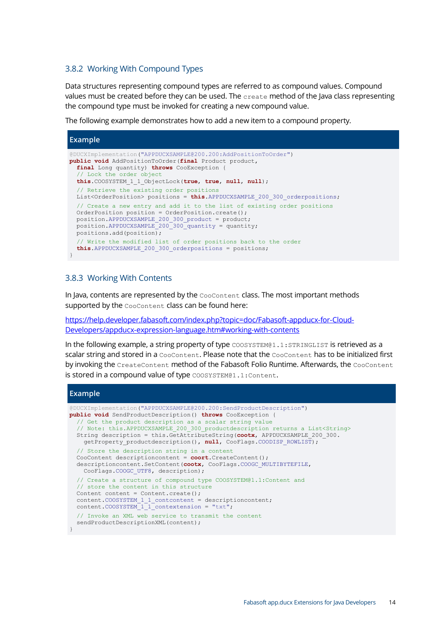#### <span id="page-13-0"></span>3.8.2 Working With Compound Types

Data structures representing compound types are referred to as compound values. Compound values must be created before they can be used. The  $\text{create}$  method of the Java class representing the compound type must be invoked for creating a new compound value.

The following example demonstrates how to add a new item to a compound property.

| <b>Example</b>                                                                                                                                                                                                                                                        |
|-----------------------------------------------------------------------------------------------------------------------------------------------------------------------------------------------------------------------------------------------------------------------|
| (PDUCXImplementation("APPDUCXSAMPLE0200.200:AddPositionToOrder")<br>public void AddPositionToOrder (final Product product,<br>final Long quantity) throws CooException {<br>// Lock the order object<br>this. COOSYSTEM 1 1 ObjectLock (true, true, null, null);      |
| // Retrieve the existing order positions<br>List <orderposition> positions = <math>this</math>.APPDUCXSAMPLE 200 300 orderpositions;</orderposition>                                                                                                                  |
| // Create a new entry and add it to the list of existing order positions<br>OrderPosition position = OrderPosition.create();<br>position.APPDUCXSAMPLE 200 300 product = product;<br>position. APPDUCXSAMPLE 200 300 quantity = quantity;<br>positions.add(position); |
| // Write the modified list of order positions back to the order<br>this. APPDUCXSAMPLE 200 300 orderpositions = positions;                                                                                                                                            |

#### <span id="page-13-1"></span>3.8.3 Working With Contents

In Java, contents are represented by the CooContent class. The most important methods supported by the CooContent class can be found here:

[https://help.developer.fabasoft.com/index.php?topic=doc/Fabasoft-appducx-for-Cloud-](https://help.developer.fabasoft.com/index.php?topic=doc/Fabasoft-appducx-for-Cloud-Developers/appducx-expression-language.htm#working-with-contents)[Developers/appducx-expression-language.htm#working-with-contents](https://help.developer.fabasoft.com/index.php?topic=doc/Fabasoft-appducx-for-Cloud-Developers/appducx-expression-language.htm#working-with-contents)

In the following example, a string property of type COOSYSTEM@1.1:STRINGLIST is retrieved as a scalar string and stored in a CooContent. Please note that the CooContent has to be initialized first by invoking the CreateContent method of the Fabasoft Folio Runtime. Afterwards, the CooContent is stored in a compound value of type COOSYSTEM@1.1:Content.

#### **Example**

```
@DUCXImplementation("APPDUCXSAMPLE@200.200:SendProductDescription")
public void SendProductDescription() throws CooException {
   // Get the product description as a scalar string value
   // Note: this.APPDUCXSAMPLE_200_300_productdescription returns a List<String>
   String description = this.GetAttributeString(cootx, APPDUCXSAMPLE_200_300.
    getProperty_productdescription(), null, CooFlags.COODISP_ROWLIST);
   // Store the description string in a content
   CooContent descriptioncontent = coort.CreateContent();
  descriptioncontent.SetContent(cootx, CooFlags.COOGC_MULTIBYTEFILE,
    CooFlags.COOGC_UTF8, description);
   // Create a structure of compound type COOSYSTEM@1.1:Content and
   // store the content in this structure
 Content content = Content.create();
content.COOSYSTEM 1 1 contcontent = descriptioncontent;
content.COOSYSTEM 1 1 contextension = "txt";
   // Invoke an XML web service to transmit the content
  sendProductDescriptionXML(content);
}
```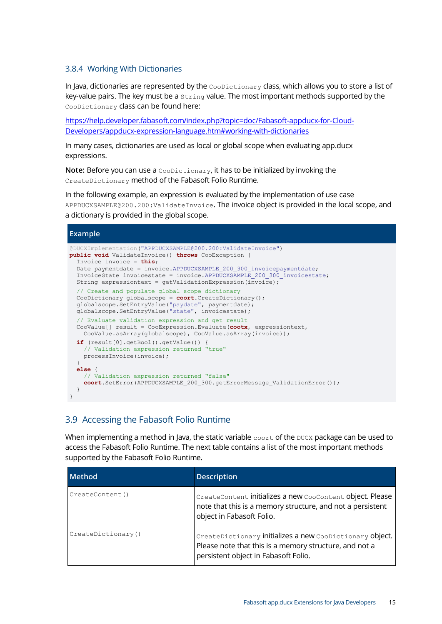#### <span id="page-14-0"></span>3.8.4 Working With Dictionaries

In Java, dictionaries are represented by the CooDictionary class, which allows you to store a list of key-value pairs. The key must be a string value. The most important methods supported by the CooDictionary class can be found here:

[https://help.developer.fabasoft.com/index.php?topic=doc/Fabasoft-appducx-for-Cloud-](https://help.developer.fabasoft.com/index.php?topic=doc/Fabasoft-appducx-for-Cloud-Developers/appducx-expression-language.htm#working-with-dictionaries)[Developers/appducx-expression-language.htm#working-with-dictionaries](https://help.developer.fabasoft.com/index.php?topic=doc/Fabasoft-appducx-for-Cloud-Developers/appducx-expression-language.htm#working-with-dictionaries)

In many cases, dictionaries are used as local or global scope when evaluating app.ducx expressions.

**Note:** Before you can use a CooDictionary, it has to be initialized by invoking the CreateDictionary method of the Fabasoft Folio Runtime.

In the following example, an expression is evaluated by the implementation of use case APPDUCXSAMPLE@200.200:ValidateInvoice. The invoice object is provided in the local scope, and a dictionary is provided in the global scope.

#### **Example** @DUCXImplementation("APPDUCXSAMPLE@200.200:ValidateInvoice") **public void** ValidateInvoice() **throws** CooException { Invoice invoice = **this**; Date paymentdate = invoice.APPDUCXSAMPLE\_200\_300\_invoicepaymentdate; InvoiceState invoicestate = invoice.APPDUCXSAMPLE\_200\_300\_invoicestate; String expressiontext =  $qetValidationExpression(invoice);$  // Create and populate global scope dictionary CooDictionary globalscope = **coort**.CreateDictionary(); globalscope.SetEntryValue("paydate", paymentdate); globalscope.SetEntryValue("state", invoicestate); // Evaluate validation expression and get result CooValue[] result = CooExpression.Evaluate(**cootx**, expressiontext, CooValue.asArray(globalscope), CooValue.asArray(invoice)); **if** (result[0].getBool().getValue()) { Validation expression returned "true" processInvoice(invoice); } **else** { // Validation expression returned "false" coort.SetError(APPDUCXSAMPLE 200 300.getErrorMessage ValidationError()); } }

# <span id="page-14-1"></span>3.9 Accessing the Fabasoft Folio Runtime

When implementing a method in Java, the static variable  $\text{const}$  of the  $\text{DUCX}$  package can be used to access the Fabasoft Folio Runtime. The next table contains a list of the most important methods supported by the Fabasoft Folio Runtime.

| <b>Method</b>      | <b>Description</b>                                                                                                                                         |
|--------------------|------------------------------------------------------------------------------------------------------------------------------------------------------------|
| CreateContent()    | CreateContent initializes a new CooContent object. Please<br>note that this is a memory structure, and not a persistent<br>object in Fabasoft Folio.       |
| CreateDictionary() | CreateDictionary initializes a new CooDictionary object.<br>Please note that this is a memory structure, and not a<br>persistent object in Fabasoft Folio. |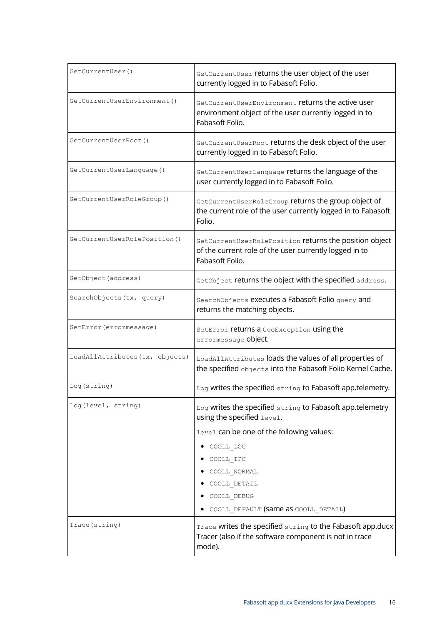| GetCurrentUser()                | GetCurrentUser returns the user object of the user<br>currently logged in to Fabasoft Folio.                                        |  |  |
|---------------------------------|-------------------------------------------------------------------------------------------------------------------------------------|--|--|
| GetCurrentUserEnvironment()     | GetCurrentUserEnvironment returns the active user<br>environment object of the user currently logged in to<br>Fabasoft Folio.       |  |  |
| GetCurrentUserRoot()            | GetCurrentUserRoot returns the desk object of the user<br>currently logged in to Fabasoft Folio.                                    |  |  |
| GetCurrentUserLanguage()        | GetCurrentUserLanguage returns the language of the<br>user currently logged in to Fabasoft Folio.                                   |  |  |
| GetCurrentUserRoleGroup()       | GetCurrentUserRoleGroup returns the group object of<br>the current role of the user currently logged in to Fabasoft<br>Folio.       |  |  |
| GetCurrentUserRolePosition()    | GetCurrentUserRolePosition returns the position object<br>of the current role of the user currently logged in to<br>Fabasoft Folio. |  |  |
| GetObject (address)             | GetObject returns the object with the specified address.                                                                            |  |  |
| SearchObjects (tx, query)       | SearchObjects executes a Fabasoft Folio query and<br>returns the matching objects.                                                  |  |  |
| SetError (errormessage)         | SetError returns a CooException using the<br>errormessage Object.                                                                   |  |  |
| LoadAllAttributes (tx, objects) | LoadAllAttributes loads the values of all properties of<br>the specified objects into the Fabasoft Folio Kernel Cache.              |  |  |
| Log (string)                    | Log writes the specified string to Fabasoft app.telemetry.                                                                          |  |  |
| Log(level, string)              | Log writes the specified string to Fabasoft app.telemetry<br>using the specified level.                                             |  |  |
|                                 | level can be one of the following values:                                                                                           |  |  |
|                                 | COOLL LOG                                                                                                                           |  |  |
|                                 | COOLL IPC                                                                                                                           |  |  |
|                                 | COOLL NORMAL                                                                                                                        |  |  |
|                                 | COOLL DETAIL<br>COOLL DEBUG                                                                                                         |  |  |
|                                 | COOLL DEFAULT (Same as COOLL DETAIL)                                                                                                |  |  |
| Trace (string)                  | Trace writes the specified string to the Fabasoft app.ducx<br>Tracer (also if the software component is not in trace<br>mode).      |  |  |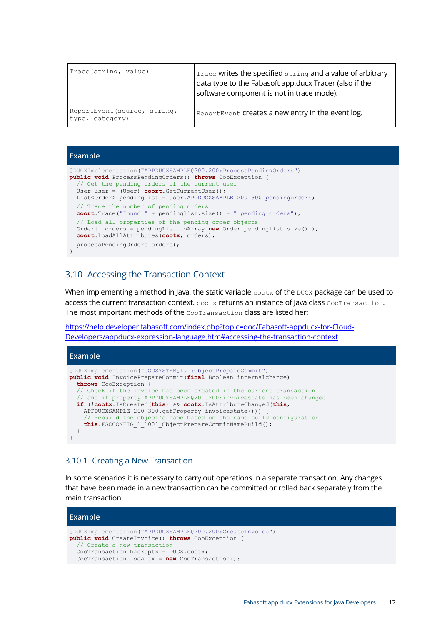| Trace (string, value)                           | Trace writes the specified string and a value of arbitrary<br>data type to the Fabasoft app.ducx Tracer (also if the<br>software component is not in trace mode). |
|-------------------------------------------------|-------------------------------------------------------------------------------------------------------------------------------------------------------------------|
| ReportEvent (source, string,<br>type, category) | ReportEvent Creates a new entry in the event log.                                                                                                                 |

#### **Example**

```
@DUCXImplementation("APPDUCXSAMPLE@200.200:ProcessPendingOrders")
public void ProcessPendingOrders() throws CooException {
   // Get the pending orders of the current user
   User user = (User) coort.GetCurrentUser();
 List<Order> pendinglist = user.APPDUCXSAMPLE 200 300 pendingorders;
  // Trace the number of pending orders
  coort.Trace("Found " + pendinglist.size() + " pending orders");
   // Load all properties of the pending order objects
  Order[] orders = pendingList.toArray(new Order[pendinglist.size()]);
  coort.LoadAllAttributes(cootx, orders);
  processPendingOrders(orders);
}
```
## <span id="page-16-0"></span>3.10 Accessing the Transaction Context

When implementing a method in Java, the static variable  $\cos x$  of the  $\cos x$  package can be used to access the current transaction context. cootx returns an instance of Java class CooTransaction. The most important methods of the CooTransaction class are listed her:

[https://help.developer.fabasoft.com/index.php?topic=doc/Fabasoft-appducx-for-Cloud-](https://help.developer.fabasoft.com/index.php?topic=doc/Fabasoft-appducx-for-Cloud-Developers/appducx-expression-language.htm#accessing-the-transaction-context)[Developers/appducx-expression-language.htm#accessing-the-transaction-context](https://help.developer.fabasoft.com/index.php?topic=doc/Fabasoft-appducx-for-Cloud-Developers/appducx-expression-language.htm#accessing-the-transaction-context)



#### <span id="page-16-1"></span>3.10.1 Creating a New Transaction

In some scenarios it is necessary to carry out operations in a separate transaction. Any changes that have been made in a new transaction can be committed or rolled back separately from the main transaction.

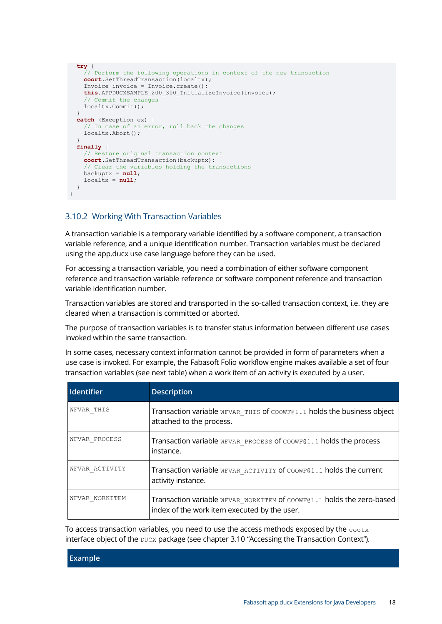```
 try {
    // Perform the following operations in context of the new transaction
    coort.SetThreadTransaction(localtx);
    Invoice invoice = Invoice.create();
    this.APPDUCXSAMPLE_200_300_InitializeInvoice(invoice);
     // Commit the changes
    localtx.Commit();
 }
  catch (Exception ex) {
     // In case of an error, roll back the changes
    localtx.Abort();
 }
  finally {
    // Restore original transaction context
    coort.SetThreadTransaction(backuptx);
     // Clear the variables holding the transactions
    backuptx = null;
    localtx = null;
 }
}
```
#### <span id="page-17-0"></span>3.10.2 Working With Transaction Variables

A transaction variable is a temporary variable identified by a software component, a transaction variable reference, and a unique identification number. Transaction variables must be declared using the app.ducx use case language before they can be used.

For accessing a transaction variable, you need a combination of either software component reference and transaction variable reference or software component reference and transaction variable identification number.

Transaction variables are stored and transported in the so-called transaction context, i.e. they are cleared when a transaction is committed or aborted.

The purpose of transaction variables is to transfer status information between different use cases invoked within the same transaction.

In some cases, necessary context information cannot be provided in form of parameters when a use case is invoked. For example, the Fabasoft Folio workflow engine makes available a set of four transaction variables (see next table) when a work item of an activity is executed by a user.

| Identifier     | <b>Description</b>                                                                                                    |
|----------------|-----------------------------------------------------------------------------------------------------------------------|
| WFVAR THIS     | Transaction variable WEVAR THIS of COOWE@1.1 holds the business object<br>attached to the process.                    |
| WFVAR PROCESS  | Transaction variable WEVAR PROCESS of COOWE@1.1 holds the process<br>instance.                                        |
| WFVAR ACTIVITY | Transaction variable WEVAR ACTIVITY of COOWE@1.1 holds the current<br>activity instance.                              |
| WFVAR WORKITEM | Transaction variable WEVAR WORKITEM of COOWE@1.1 holds the zero-based<br>index of the work item executed by the user. |

To access transaction variables, you need to use the access methods exposed by the  $\text{costx}$ interface object of the DUCX package (see chapter [3.10](#page-16-0) "[Accessing the Transaction Context](#page-16-0)").

| <b>Example</b> |  |
|----------------|--|
|----------------|--|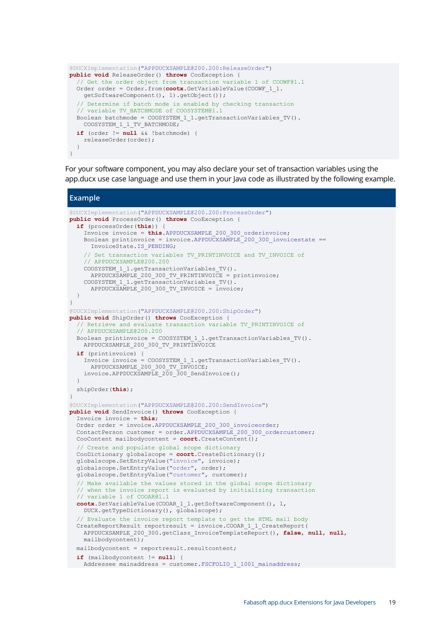```
@DUCXImplementation("APPDUCXSAMPLE@200.200:ReleaseOrder")
public void ReleaseOrder() throws CooException {
   // Get the order object from transaction variable 1 of COOWF@1.1
   Order order = Order.from(cootx.GetVariableValue(COOWF_1_1.
     getSoftwareComponent(), 1).getObject());
   // Determine if batch mode is enabled by checking transaction
  // variable TV BATCHMODE of COOSYSTEM@1.1
   Boolean batchmode = COOSYSTEM_1_1.getTransactionVariables_TV().
    COOSYSTEM 1 1 TV BATCHMODE;
  if (order != null & !batchmode) {
    releaseOrder(order);
 }
}
```
For your software component, you may also declare your set of transaction variables using the app.ducx use case language and use them in your Java code as illustrated by the following example.

```
Example
@DUCXImplementation("APPDUCXSAMPLE@200.200:ProcessOrder")
public void ProcessOrder() throws CooException {
   if (processOrder(this)) {
     Invoice invoice = this.APPDUCXSAMPLE_200_300_orderinvoice;
     Boolean printinvoice = invoice.APPDUCXSAMPLE_200_300_invoicestate ==
      InvoiceState.IS_PENDING;
    // Set transaction variables TV PRINTINVOICE and TV INVOICE of
       // APPDUCXSAMPLE@200.200
    COOSYSTEM 1 1.getTransactionVariables TV().
     APPDUCXSAMPLE 200 300 TV PRINTINVOICE = printinvoice;
    COOSYSTEM 1 1.getTransactionVariables TV().
     APPDUCX\overline{S}A\overline{M}PLE 200 300 TV INVOICE = invoice;
   }
}
@DUCXImplementation("APPDUCXSAMPLE@200.200:ShipOrder")
public void ShipOrder() throws CooException {
 // Retrieve and evaluate transaction variable TV PRINTINVOICE of
   // APPDUCXSAMPLE@200.200
  Boolean printinvoice = COOSYSTEM_1_1.getTransactionVariables_TV().
   APPDUCXSAMPLE 200 300 TV PRINTINVOICE
   if (printinvoice) {
     Invoice invoice = COOSYSTEM_1_1.getTransactionVariables_TV().
       APPDUCXSAMPLE_200_300_TV_INVOICE;
    invoice.APPDUCXSAMPLE 200 300 SendInvoice();
   }
  shipOrder(this);
}
@DUCXImplementation("APPDUCXSAMPLE@200.200:SendInvoice")
public void SendInvoice() throws CooException {
  Invoice invoice = this;
 Order order = invoice.APPDUCXSAMPLE 200 300 invoiceorder;
  ContactPerson customer = order.APPDUCXSAMPLE_200_300_ordercustomer;
  CooContent mailbodycontent = coort.CreateContent();
   // Create and populate global scope dictionary
  CooDictionary globalscope = coort.CreateDictionary();
   globalscope.SetEntryValue("invoice", invoice);
   globalscope.SetEntryValue("order", order);
  globalscope.SetEntryValue("customer", customer);
   // Make available the values stored in the global scope dictionary
    when the invoice report is evaluated by initializing transaction
   // variable 1 of COOAR@1.1
   cootx.SetVariableValue(COOAR_1_1.getSoftwareComponent(), 1,
     DUCX.getTypeDictionary(), globalscope);
   // Evaluate the invoice report template to get the HTML mail body
   CreateReportResult reportresult = invoice.COOAR_1_1_CreateReport(
    APPDUCXSAMPLE_200_300.getClass_InvoiceTemplateReport(), false, null, null,
     mailbodycontent);
   mailbodycontent = reportresult.resultcontent;
   if (mailbodycontent != null) {
  Addressee mainaddress = customer.FSCFOLIO 1 1001 mainaddress;
```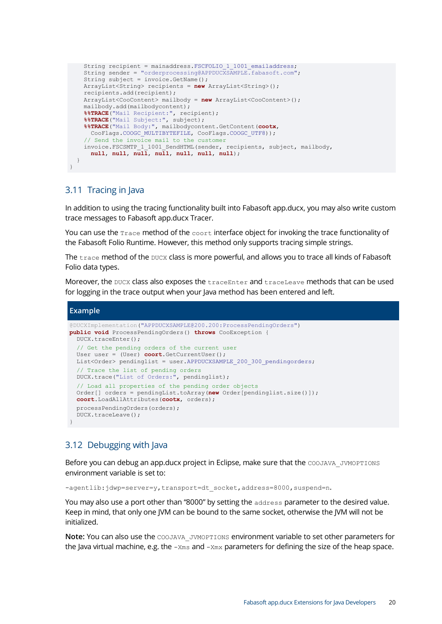```
String recipient = mainaddress. FSCFOLIO 1 1001 emailaddress;
    String sender = "orderprocessing@APPDUCXSAMPLE.fabasoft.com";
   String subject = invoice.GetName();
    ArrayList<String> recipients = new ArrayList<String>();
    recipients.add(recipient);
    ArrayList<CooContent> mailbody = new ArrayList<CooContent>();
    mailbody.add(mailbodycontent);
    %%TRACE("Mail Recipient:", recipient);
    %%TRACE("Mail Subject:", subject);
    %%TRACE("Mail Body:", mailbodycontent.GetContent(cootx,
     CooFlags.COOGC_MULTIBYTEFILE, CooFlags.COOGC_UTF8));
     // Send the invoice mail to the customer
    invoice.FSCSMTP_1_1001_SendHTML(sender, recipients, subject, mailbody,
      null, null, null, null, null, null, null);
 }
}
```
## <span id="page-19-0"></span>3.11 Tracing in Java

In addition to using the tracing functionality built into Fabasoft app.ducx, you may also write custom trace messages to Fabasoft app.ducx Tracer.

You can use the  $T_{\text{race}}$  method of the  $\text{coort}}$  interface object for invoking the trace functionality of the Fabasoft Folio Runtime. However, this method only supports tracing simple strings.

The trace method of the DUCX class is more powerful, and allows you to trace all kinds of Fabasoft Folio data types.

Moreover, the DUCX class also exposes the traceEnter and traceLeave methods that can be used for logging in the trace output when your Java method has been entered and left.

```
Example
@DUCXImplementation("APPDUCXSAMPLE@200.200:ProcessPendingOrders")
public void ProcessPendingOrders() throws CooException {
 DUCX.traceEnter();
   // Get the pending orders of the current user
  User user = (User) coort.GetCurrentUser();
 List<Order> pendinglist = user.APPDUCXSAMPLE 200 300 pendingorders;
   // Trace the list of pending orders
  DUCX.trace("List of Orders:", pendinglist);
   // Load all properties of the pending order objects
  Order[] orders = pendingList.toArray(new Order[pendinglist.size()]);
  coort.LoadAllAttributes(cootx, orders);
  processPendingOrders(orders);
  DUCX.traceLeave();
}
```
## <span id="page-19-1"></span>3.12 Debugging with Java

Before you can debug an app.ducx project in Eclipse, make sure that the COOJAVA\_JVMOPTIONS environment variable is set to:

-agentlib:jdwp=server=y,transport=dt socket,address=8000,suspend=n.

You may also use a port other than "8000" by setting the address parameter to the desired value. Keep in mind, that only one JVM can be bound to the same socket, otherwise the JVM will not be initialized.

**Note:** You can also use the COOJAVA JVMOPTIONS environment variable to set other parameters for the Java virtual machine, e.g. the  $-x_{\text{ms}}$  and  $-x_{\text{mx}}$  parameters for defining the size of the heap space.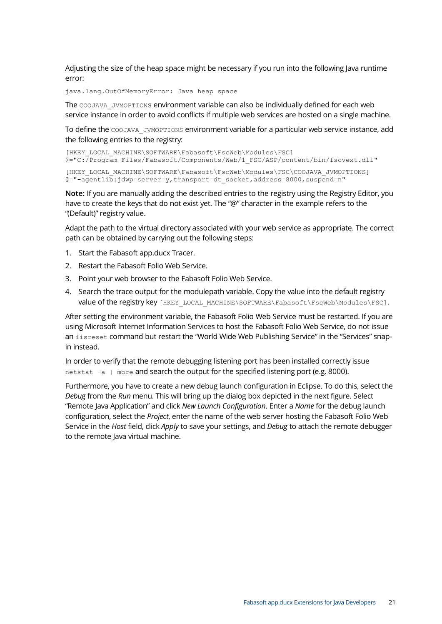Adjusting the size of the heap space might be necessary if you run into the following Java runtime error:

java.lang.OutOfMemoryError: Java heap space

The COOJAVA\_JVMOPTIONS environment variable can also be individually defined for each web service instance in order to avoid conflicts if multiple web services are hosted on a single machine.

To define the COOJAVA\_JVMOPTIONS environment variable for a particular web service instance, add the following entries to the registry:

```
[HKEY_LOCAL_MACHINE\SOFTWARE\Fabasoft\FscWeb\Modules\FSC]
@="C:/Program Files/Fabasoft/Components/Web/1_FSC/ASP/content/bin/fscvext.dll"
[HKEY_LOCAL_MACHINE\SOFTWARE\Fabasoft\FscWeb\Modules\FSC\COOJAVA_JVMOPTIONS]
@="-agentlib:jdwp=server=y,transport=dt_socket,address=8000,suspend=n"
```
**Note:** If you are manually adding the described entries to the registry using the Registry Editor, you have to create the keys that do not exist yet. The "@" character in the example refers to the "(Default)" registry value.

Adapt the path to the virtual directory associated with your web service as appropriate. The correct path can be obtained by carrying out the following steps:

- 1. Start the Fabasoft app.ducx Tracer.
- 2. Restart the Fabasoft Folio Web Service.
- 3. Point your web browser to the Fabasoft Folio Web Service.
- 4. Search the trace output for the modulepath variable. Copy the value into the default registry value of the registry key [HKEY\_LOCAL\_MACHINE\SOFTWARE\Fabasoft\FscWeb\Modules\FSC].

After setting the environment variable, the Fabasoft Folio Web Service must be restarted. If you are using Microsoft Internet Information Services to host the Fabasoft Folio Web Service, do not issue an iisreset command but restart the "World Wide Web Publishing Service" in the "Services" snapin instead.

In order to verify that the remote debugging listening port has been installed correctly issue netstat -a | more and search the output for the specified listening port (e.g. 8000).

Furthermore, you have to create a new debug launch configuration in Eclipse. To do this, select the *Debug* from the *Run* menu. This will bring up the dialog box depicted in the next figure. Select "Remote Java Application" and click *New Launch Configuration*. Enter a *Name* for the debug launch configuration, select the *Project*, enter the name of the web server hosting the Fabasoft Folio Web Service in the *Host* field, click *Apply* to save your settings, and *Debug* to attach the remote debugger to the remote lava virtual machine.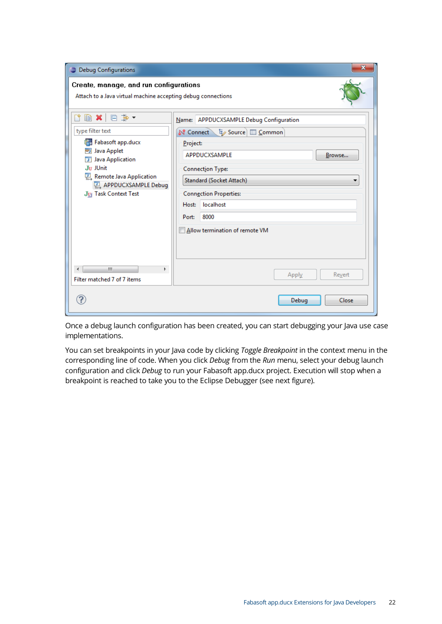| <b>Debug Configurations</b>                                                                            |                                         |                                                               |       | x      |
|--------------------------------------------------------------------------------------------------------|-----------------------------------------|---------------------------------------------------------------|-------|--------|
| Create, manage, and run configurations<br>Attach to a Java virtual machine accepting debug connections |                                         |                                                               |       |        |
| <b>图 ※ 回 学▼</b><br>Ľ,                                                                                  | Name: APPDUCXSAMPLE Debug Configuration |                                                               |       |        |
| type filter text                                                                                       |                                         | <b>N</b> Connect $t_{\mathscr{L}}$ Source $\mathbb{E}$ Common |       |        |
| <b>FR</b> Fabasoft app.ducx<br><b>可 Java Applet</b><br>Java Application                                | Project:<br>APPDUCXSAMPLE<br>Browse     |                                                               |       |        |
| Ju JUnit<br>巴, Remote Java Application                                                                 | <b>Connection Type:</b>                 |                                                               |       |        |
| <b>Q</b> APPDUCXSAMPLE Debug                                                                           |                                         | Standard (Socket Attach)                                      |       |        |
| JE Task Context Test                                                                                   | <b>Connection Properties:</b>           |                                                               |       |        |
|                                                                                                        | Host:                                   | localhost                                                     |       |        |
|                                                                                                        | Port:                                   | 8000                                                          |       |        |
| m.<br>Þ.                                                                                               |                                         | Allow termination of remote VM                                |       |        |
| Filter matched 7 of 7 items                                                                            |                                         |                                                               | Apply | Revert |
|                                                                                                        |                                         |                                                               | Debug | Close  |

Once a debug launch configuration has been created, you can start debugging your Java use case implementations.

You can set breakpoints in your Java code by clicking *Toggle Breakpoint* in the context menu in the corresponding line of code. When you click *Debug* from the *Run* menu, select your debug launch configuration and click *Debug* to run your Fabasoft app.ducx project. Execution will stop when a breakpoint is reached to take you to the Eclipse Debugger (see next figure).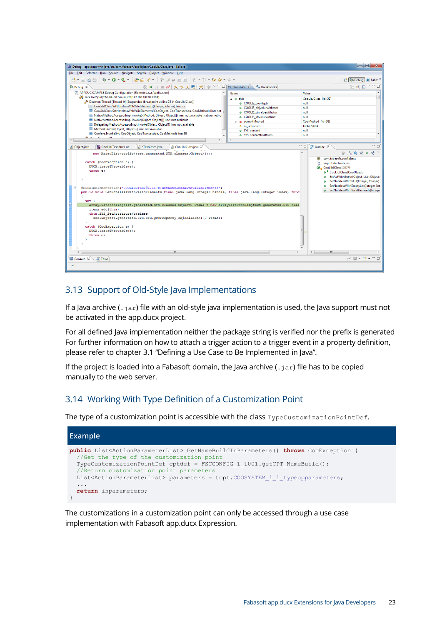| Debuq - app.ducx with java/src/com/fabasoft/coolibitest/CooLibJClass.java - Eclipse                                                                                                                                       |                                                  |       | الالتس                                                                             |  |  |
|---------------------------------------------------------------------------------------------------------------------------------------------------------------------------------------------------------------------------|--------------------------------------------------|-------|------------------------------------------------------------------------------------|--|--|
| File Edit Refactor Run Source Navigate Search Project Window Help                                                                                                                                                         |                                                  |       |                                                                                    |  |  |
| <b>ね‐0‐Q‐   @@∥・   ♀ 丿っ                           や ↓・☆・</b><br>$F3 - 1.$<br>Q a                                                                                                                                          |                                                  |       | <b>学校</b> Debug<br><b>So</b> Fabas                                                 |  |  |
| 梦 Debug ⊠<br>H ■ N 3. ⊙ . e 忌   52  <br>≋ d⊳<br>59                                                                                                                                                                        | $(x)$ Variables $\&$<br><sup>O</sup> Breakpoints |       | 们 帷 日                                                                              |  |  |
| APPDUCXSAMPLE Debug Configuration [Remote Java Application]                                                                                                                                                               | Name                                             | Value |                                                                                    |  |  |
| Java HotSpot(TM) 64-Bit Server VM[192.168.107.92:9200]                                                                                                                                                                    | $\overline{a}$ $\overline{a}$ this               |       | CooLibJClass (id=32)                                                               |  |  |
| Daemon Thread (Thread-0) (Suspended (breakpoint at line 75 in CooLibJClass))<br>e COOLIB coolibistr                                                                                                                       |                                                  |       | null                                                                               |  |  |
| E CooLibJClass.SetNotelessWithValidElements(Integer, Integer) line: 75<br>E CooLibJClass.SetNotelessWithValidElements(CooObject, CooTransaction, CooMethod) line: not                                                     | COOLIB objvaluewithctor                          | null  |                                                                                    |  |  |
| ThativeMethodAccessorImpl.invoke0(Method, Object, Object[]) line: not available [native metho                                                                                                                             | ● COOLIB_strvaluewithctor                        | null  |                                                                                    |  |  |
| NativeMethodAccessorImpl.invoke(Object, Object[]) line: not available                                                                                                                                                     | COOLIB strvaluewithset                           | null  |                                                                                    |  |  |
| E DelegatingMethodAccessorImpl.invoke(Object, Object[]) line: not available                                                                                                                                               | <b>B</b> currentMethod                           |       | CooMethod (id=38)                                                                  |  |  |
| Method.invoke(Obiect, Obiect) line: not available                                                                                                                                                                         | → m_unknown<br>e SYS content                     | null  | 1486079888                                                                         |  |  |
| E CooJava.Invoke(int, CooObject, CooTransaction, CooMethod) line: 98                                                                                                                                                      | A SYS contentfinalform                           | mull  |                                                                                    |  |  |
| <b>A Thursd facility (Boundary)</b><br>m<br>$\leftarrow$                                                                                                                                                                  |                                                  |       |                                                                                    |  |  |
|                                                                                                                                                                                                                           |                                                  | Ξn    | $= 5$                                                                              |  |  |
| <b>D</b> Object.java<br>CooLibJTest.ducx-uc<br>J CooLibJClass.java 23<br>J *TestCases.java                                                                                                                                |                                                  |       | <b>RE Outline 23</b>                                                               |  |  |
| new ArrayList <coolibjtest.generated.sys.classes.object>());</coolibjtest.generated.sys.classes.object>                                                                                                                   |                                                  |       | $\mathbb{R} \times \mathbb{R} \times \mathbb{R}$ or $\mathbb{R} \times \mathbb{R}$ |  |  |
| -1<br>catch (CooException e) {                                                                                                                                                                                            |                                                  |       | com.fabasoft.coolibitest<br>ട                                                      |  |  |
| DUCX.traceThrowable(e):                                                                                                                                                                                                   |                                                  |       | ٠.<br>import declarations                                                          |  |  |
| throw e:                                                                                                                                                                                                                  |                                                  |       | <b>O</b> <sub>n</sub> CooLibJClass 126276<br><sup>c</sup> CooLibJClass(CooObiect)  |  |  |
|                                                                                                                                                                                                                           |                                                  |       | · SetActWithSuper(Object, List <object></object>                                   |  |  |
|                                                                                                                                                                                                                           |                                                  |       | SetNotelessWithNull(Integer, Integer)                                              |  |  |
|                                                                                                                                                                                                                           |                                                  |       | SetNotelessWithEmptyList(Integer, Inti<br>$\bullet$                                |  |  |
| @DUCXImplementation("COOLIBJTEST@1.1170:SetNotelessWithValidElements")<br>public void SetNotelessWithValidElements(final java.lang.Integer handle, final java.lang.Integer index) thro                                    |                                                  |       | SetNotelessWithValidElements(Integer                                               |  |  |
| Ŧ                                                                                                                                                                                                                         |                                                  |       |                                                                                    |  |  |
| $try$ {                                                                                                                                                                                                                   |                                                  |       |                                                                                    |  |  |
| ArrayList <coolibjtest.generated.sys.classes.object> items = new ArrayList<coolibjtest.generated.sys.clas< td=""><td></td><td></td><td></td></coolibjtest.generated.sys.clas<></coolibjtest.generated.sys.classes.object> |                                                  |       |                                                                                    |  |  |
| items.add(this);                                                                                                                                                                                                          |                                                  |       |                                                                                    |  |  |
| this.SYS SetAttributeNoteless (                                                                                                                                                                                           |                                                  |       |                                                                                    |  |  |
| coolibjtest.generated.SYS.SYS.getProperty objchildren(), items);                                                                                                                                                          |                                                  |       |                                                                                    |  |  |
| catch (CooException e) {                                                                                                                                                                                                  |                                                  |       |                                                                                    |  |  |
| DUCX.traceThrowable(e):                                                                                                                                                                                                   |                                                  |       |                                                                                    |  |  |
| throw e:                                                                                                                                                                                                                  |                                                  |       |                                                                                    |  |  |
|                                                                                                                                                                                                                           |                                                  |       |                                                                                    |  |  |
| -3                                                                                                                                                                                                                        |                                                  |       |                                                                                    |  |  |
| ٠<br>m.                                                                                                                                                                                                                   |                                                  |       | m                                                                                  |  |  |
| <b>El Console 83</b>                                                                                                                                                                                                      |                                                  |       | $=$ $-$<br>$H \boxtimes \mathcal{M}$                                               |  |  |
| <b>Z</b> Tasks                                                                                                                                                                                                            |                                                  |       |                                                                                    |  |  |
| $\Pi^{\Phi}$                                                                                                                                                                                                              |                                                  |       |                                                                                    |  |  |

# <span id="page-22-0"></span>3.13 Support of Old-Style Java Implementations

If a Java archive  $(.$  $<sub>j</sub>ar)$  file with an old-style java implementation is used, the Java support must not</sub> be activated in the app.ducx project.

For all defined Java implementation neither the package string is verified nor the prefix is generated For further information on how to attach a trigger action to a trigger event in a property definition, please refer to chapter [3.1](#page-5-0) "[Defining a Use Case to Be Implemented in Java](#page-5-0)".

If the project is loaded into a Fabasoft domain, the Java archive ( $\Delta$ jar) file has to be copied manually to the web server.

# <span id="page-22-1"></span>3.14 Working With Type Definition of a Customization Point

The type of a customization point is accessible with the class TypeCustomizationPointDef.



The customizations in a customization point can only be accessed through a use case implementation with Fabasoft app.ducx Expression.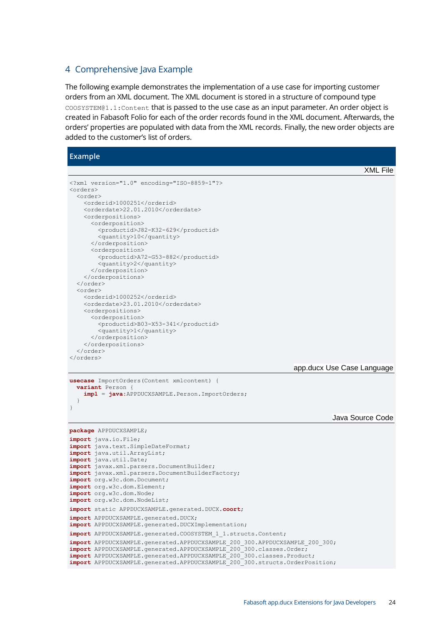#### <span id="page-23-0"></span>4 Comprehensive Java Example

The following example demonstrates the implementation of a use case for importing customer orders from an XML document. The XML document is stored in a structure of compound type COOSYSTEM@1.1:Content that is passed to the use case as an input parameter. An order object is created in Fabasoft Folio for each of the order records found in the XML document. Afterwards, the orders' properties are populated with data from the XML records. Finally, the new order objects are added to the customer's list of orders.

#### **Example**

```
XML File
<?xml version="1.0" encoding="ISO-8859-1"?>
<orders>
   <order>
     <orderid>1000251</orderid>
     <orderdate>22.01.2010</orderdate>
     <orderpositions>
       <orderposition>
         <productid>J82-K32-629</productid>
         <quantity>10</quantity>
       </orderposition>
       <orderposition>
         <productid>A72-G53-882</productid>
         <quantity>2</quantity>
       </orderposition>
     </orderpositions>
   </order>
   <order>
     <orderid>1000252</orderid>
     <orderdate>23.01.2010</orderdate>
     <orderpositions>
       <orderposition>
         <productid>B03-X53-341</productid>
         <quantity>1</quantity>
       </orderposition>
     </orderpositions>
   </order>
</orders>
                                                                 app.ducx Use Case Language
usecase ImportOrders(Content xmlcontent) {
  variant Person
     impl = java:APPDUCXSAMPLE.Person.ImportOrders;
   }
}
                                                                            Java Source Code
package APPDUCXSAMPLE;
import java.io.File;
import java.text.SimpleDateFormat;
import java.util.ArrayList;
import java.util.Date;
import javax.xml.parsers.DocumentBuilder;
import javax.xml.parsers.DocumentBuilderFactory;
import org.w3c.dom.Document;
import org.w3c.dom.Element;
import org.w3c.dom.Node;
import org.w3c.dom.NodeList;
import static APPDUCXSAMPLE.generated.DUCX.coort;
import APPDUCXSAMPLE.generated.DUCX;
import APPDUCXSAMPLE.generated.DUCXImplementation;
import APPDUCXSAMPLE.generated.COOSYSTEM_1_1.structs.Content;
import APPDUCXSAMPLE.generated.APPDUCXSAMPLE 200 300.APPDUCXSAMPLE 200 300;
import APPDUCXSAMPLE.generated.APPDUCXSAMPLE_200_300.classes.Order;
import APPDUCXSAMPLE.generated.APPDUCXSAMPLE_200_300.classes.Product;
import APPDUCXSAMPLE.generated.APPDUCXSAMPLE_200_300.structs.OrderPosition;
```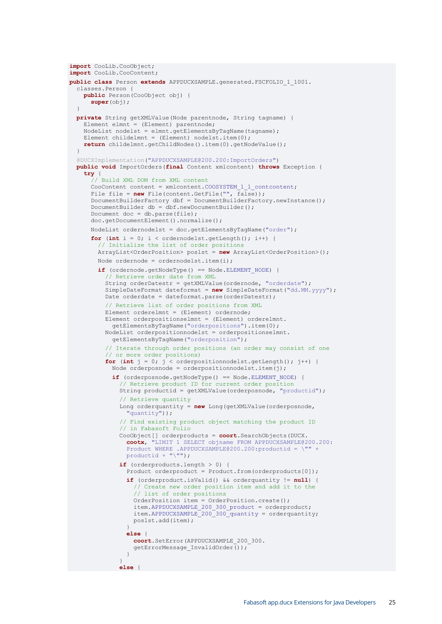```
import CooLib.CooObject;
import CooLib.CooContent;
public class Person extends APPDUCXSAMPLE.generated.FSCFOLIO_1_1001.
   classes.Person {
    public Person(CooObject obj) {
      super(obj);
 }
  private String getXMLValue(Node parentnode, String tagname) {
    Element elmnt = (Element) parentnode;
    NodeList nodelst = elmnt.getElementsByTagName(tagname);
   Element childelmnt = (Element) nodelst.item(0);
    return childelmnt.getChildNodes().item(0).getNodeValue();
   }
  @DUCXImplementation("APPDUCXSAMPLE@200.200:ImportOrders")
  public void ImportOrders(final Content xmlcontent) throws Exception {
     try {
       // Build XML DOM from XML content
      CooContent content = xmlcontent.COOSYSTEM 1 1 contcontent;
     File file = new File(content.GetFile("", \overline{false}));
      DocumentBuilderFactory dbf = DocumentBuilderFactory.newInstance();
       DocumentBuilder db = dbf.newDocumentBuilder();
      Document doc = db.parse(file);
      doc.getDocumentElement().normalize();
      NodeList ordernodelst = doc.getElementsByTagName("order");
      for (int i = 0; i < ordernodelst.getLength(); i++) {
         // Initialize the list of order positions
        ArrayList<OrderPosition> poslst = new ArrayList<OrderPosition>();
       Node ordernode = ordernodelst.item(i);
         if (ordernode.getNodeType() == Node.ELEMENT_NODE) {
           // Retrieve order date from XML
           String orderDatestr = getXMLValue(ordernode, "orderdate");
          SimpleDateFormat dateformat = new SimpleDateFormat("dd.MM.yyyy");
           Date orderdate = dateformat.parse(orderDatestr);
           // Retrieve list of order positions from XML
           Element orderelmnt = (Element) ordernode;
           Element orderpositionselmnt = (Element) orderelmnt.
             getElementsByTagName("orderpositions").item(0);
           NodeList orderpositionnodelst = orderpositionselmnt.
            getElementsByTagName("orderposition");
           // Iterate through order positions (an order may consist of one
           // or more order positions)
          for (int j = 0; j < orderpositionnodelst.getLength(); j++) {
            Node orderposnode = orderpositionnodelst.item(j);
             if (orderposnode.getNodeType() == Node.ELEMENT_NODE) {
               // Retrieve product ID for current order position
               String productid = getXMLValue(orderposnode, "productid");
               // Retrieve quantity
               Long orderquantity = new Long(getXMLValue(orderposnode,
                 "quantity"));
               // Find existing product object matching the product ID
               // in Fabasoft Folio
               CooObject[] orderproducts = coort.SearchObjects(DUCX.
                 cootx, "LIMIT 1 SELECT objname FROM APPDUCXSAMPLE@200.200:
                 Product WHERE .APPDUCXSAMPLE@200.200:productid = \"" +
                 productid + "\"");
               if (orderproducts.length > 0) {
                Product orderproduct = Product.from(orderproducts[0]);
                 if (orderproduct.isValid() && orderquantity != null) {
                   // Create new order position item and add it to the
                  // list of order positions
                  OrderPosition item = OrderPosition.create();
                  item.APPDUCXSAMPLE 200 300 product = orderproduct;
                  item.APPDUCXSAMPLE 200^-300^-quantity = orderquantity;
                   poslst.add(item);
 }
                else {
                   coort.SetError(APPDUCXSAMPLE_200_300.
                  getErrorMessage_InvalidOrder());
 }
 }
               else {
```